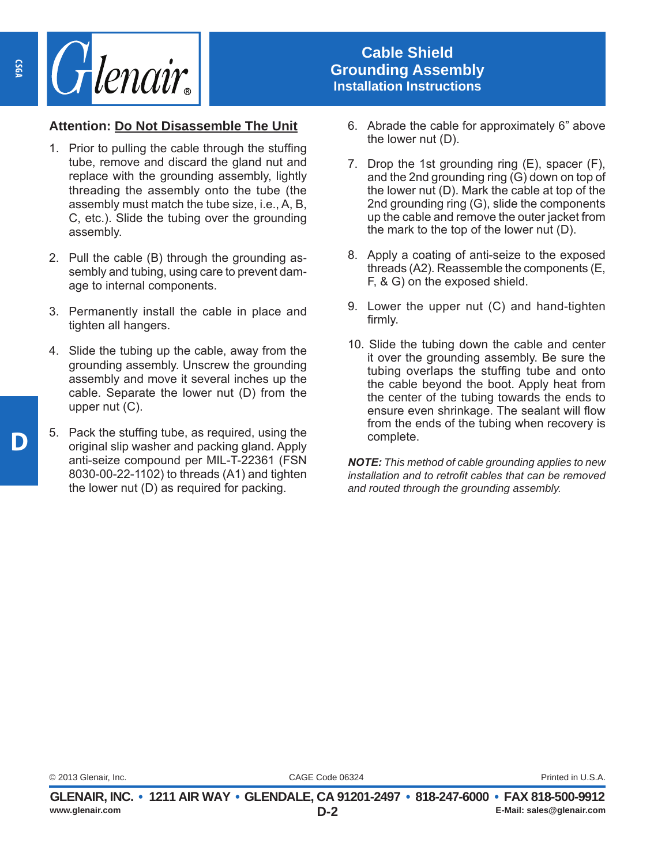

## **Cable Shield Grounding Assembly Installation Instructions**

## **Attention: Do Not Disassemble The Unit**

- 1. Prior to pulling the cable through the stuffing tube, remove and discard the gland nut and replace with the grounding assembly, lightly threading the assembly onto the tube (the assembly must match the tube size, i.e., A, B, C, etc.). Slide the tubing over the grounding assembly.
- 2. Pull the cable (B) through the grounding assembly and tubing, using care to prevent damage to internal components.
- 3. Permanently install the cable in place and tighten all hangers.
- 4. Slide the tubing up the cable, away from the grounding assembly. Unscrew the grounding assembly and move it several inches up the cable. Separate the lower nut (D) from the upper nut (C).
- 5. Pack the stuffing tube, as required, using the original slip washer and packing gland. Apply anti-seize compound per MIL-T-22361 (FSN 8030-00-22-1102) to threads (A1) and tighten the lower nut (D) as required for packing.
- 6. Abrade the cable for approximately 6" above the lower nut (D).
- 7. Drop the 1st grounding ring (E), spacer (F), and the 2nd grounding ring (G) down on top of the lower nut (D). Mark the cable at top of the 2nd grounding ring (G), slide the components up the cable and remove the outer jacket from the mark to the top of the lower nut (D).
- 8. Apply a coating of anti-seize to the exposed threads (A2). Reassemble the components (E, F, & G) on the exposed shield.
- 9. Lower the upper nut (C) and hand-tighten firmly.
- 10. Slide the tubing down the cable and center it over the grounding assembly. Be sure the tubing overlaps the stuffing tube and onto the cable beyond the boot. Apply heat from the center of the tubing towards the ends to ensure even shrinkage. The sealant will flow from the ends of the tubing when recovery is complete.

*NOTE: This method of cable grounding applies to new installation and to retrofit cables that can be removed and routed through the grounding assembly.* 

CAGE Code 06324 © 2013 Glenair, Inc. Printed in U.S.A.